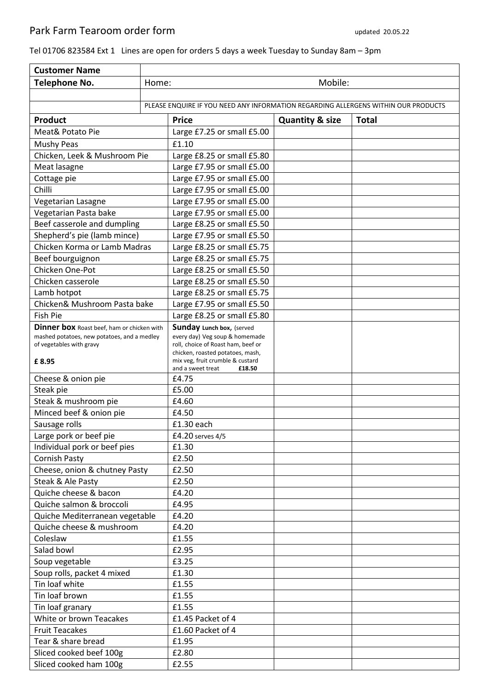## Tel 01706 823584 Ext 1 Lines are open for orders 5 days a week Tuesday to Sunday 8am – 3pm

| <b>Customer Name</b>                              |                                                                                    |                                                                      |                            |       |  |
|---------------------------------------------------|------------------------------------------------------------------------------------|----------------------------------------------------------------------|----------------------------|-------|--|
| Telephone No.                                     | Mobile:<br>Home:                                                                   |                                                                      |                            |       |  |
|                                                   |                                                                                    |                                                                      |                            |       |  |
|                                                   | PLEASE ENQUIRE IF YOU NEED ANY INFORMATION REGARDING ALLERGENS WITHIN OUR PRODUCTS |                                                                      |                            |       |  |
| Product                                           |                                                                                    | <b>Price</b>                                                         | <b>Quantity &amp; size</b> | Total |  |
| Meat& Potato Pie                                  |                                                                                    | Large £7.25 or small £5.00                                           |                            |       |  |
| Mushy Peas                                        |                                                                                    | £1.10                                                                |                            |       |  |
| Chicken, Leek & Mushroom Pie                      |                                                                                    | Large £8.25 or small £5.80                                           |                            |       |  |
| Meat lasagne                                      |                                                                                    | Large £7.95 or small £5.00                                           |                            |       |  |
| Cottage pie                                       |                                                                                    | Large £7.95 or small £5.00                                           |                            |       |  |
| Chilli                                            |                                                                                    | Large £7.95 or small £5.00                                           |                            |       |  |
| Vegetarian Lasagne                                |                                                                                    | Large £7.95 or small £5.00                                           |                            |       |  |
| Vegetarian Pasta bake                             |                                                                                    | Large £7.95 or small £5.00                                           |                            |       |  |
| Beef casserole and dumpling                       |                                                                                    | Large £8.25 or small £5.50                                           |                            |       |  |
| Shepherd's pie (lamb mince)                       |                                                                                    | Large £7.95 or small £5.50                                           |                            |       |  |
| Chicken Korma or Lamb Madras                      |                                                                                    | Large £8.25 or small £5.75                                           |                            |       |  |
| Beef bourguignon                                  |                                                                                    | Large £8.25 or small £5.75                                           |                            |       |  |
| Chicken One-Pot                                   |                                                                                    | Large £8.25 or small £5.50                                           |                            |       |  |
| Chicken casserole                                 |                                                                                    | Large £8.25 or small £5.50                                           |                            |       |  |
| Lamb hotpot                                       |                                                                                    | Large £8.25 or small £5.75                                           |                            |       |  |
| Chicken& Mushroom Pasta bake                      |                                                                                    | Large £7.95 or small £5.50                                           |                            |       |  |
| <b>Fish Pie</b>                                   |                                                                                    | Large £8.25 or small £5.80                                           |                            |       |  |
| <b>Dinner box</b> Roast beef, ham or chicken with |                                                                                    | Sunday Lunch box, (served                                            |                            |       |  |
| mashed potatoes, new potatoes, and a medley       |                                                                                    | every day) Veg soup & homemade                                       |                            |       |  |
| of vegetables with gravy                          |                                                                                    | roll, choice of Roast ham, beef or                                   |                            |       |  |
| £8.95                                             |                                                                                    | chicken, roasted potatoes, mash,<br>mix veg, fruit crumble & custard |                            |       |  |
|                                                   |                                                                                    | and a sweet treat<br>£18.50                                          |                            |       |  |
| Cheese & onion pie                                |                                                                                    | £4.75                                                                |                            |       |  |
| Steak pie                                         |                                                                                    | £5.00                                                                |                            |       |  |
| Steak & mushroom pie                              |                                                                                    | £4.60                                                                |                            |       |  |
| Minced beef & onion pie                           |                                                                                    | £4.50                                                                |                            |       |  |
| Sausage rolls                                     |                                                                                    | £1.30 each                                                           |                            |       |  |
| Large pork or beef pie                            |                                                                                    | £4.20 serves 4/5                                                     |                            |       |  |
| Individual pork or beef pies                      |                                                                                    | £1.30                                                                |                            |       |  |
| <b>Cornish Pasty</b>                              |                                                                                    | £2.50                                                                |                            |       |  |
| Cheese, onion & chutney Pasty                     |                                                                                    | £2.50                                                                |                            |       |  |
| Steak & Ale Pasty                                 |                                                                                    | £2.50                                                                |                            |       |  |
| Quiche cheese & bacon                             |                                                                                    | £4.20                                                                |                            |       |  |
| Quiche salmon & broccoli                          |                                                                                    | £4.95                                                                |                            |       |  |
| Quiche Mediterranean vegetable                    |                                                                                    | £4.20                                                                |                            |       |  |
| Quiche cheese & mushroom                          |                                                                                    | £4.20                                                                |                            |       |  |
| Coleslaw                                          |                                                                                    | £1.55                                                                |                            |       |  |
| Salad bowl                                        |                                                                                    | £2.95                                                                |                            |       |  |
| Soup vegetable                                    |                                                                                    | £3.25                                                                |                            |       |  |
| Soup rolls, packet 4 mixed                        |                                                                                    | £1.30                                                                |                            |       |  |
| Tin loaf white                                    |                                                                                    | £1.55                                                                |                            |       |  |
| Tin loaf brown                                    |                                                                                    | £1.55                                                                |                            |       |  |
| Tin loaf granary                                  |                                                                                    | £1.55                                                                |                            |       |  |
| White or brown Teacakes                           |                                                                                    | £1.45 Packet of 4                                                    |                            |       |  |
| <b>Fruit Teacakes</b>                             |                                                                                    | £1.60 Packet of 4                                                    |                            |       |  |
| Tear & share bread                                |                                                                                    | £1.95                                                                |                            |       |  |
| Sliced cooked beef 100g                           |                                                                                    | £2.80                                                                |                            |       |  |
| Sliced cooked ham 100g                            |                                                                                    | £2.55                                                                |                            |       |  |